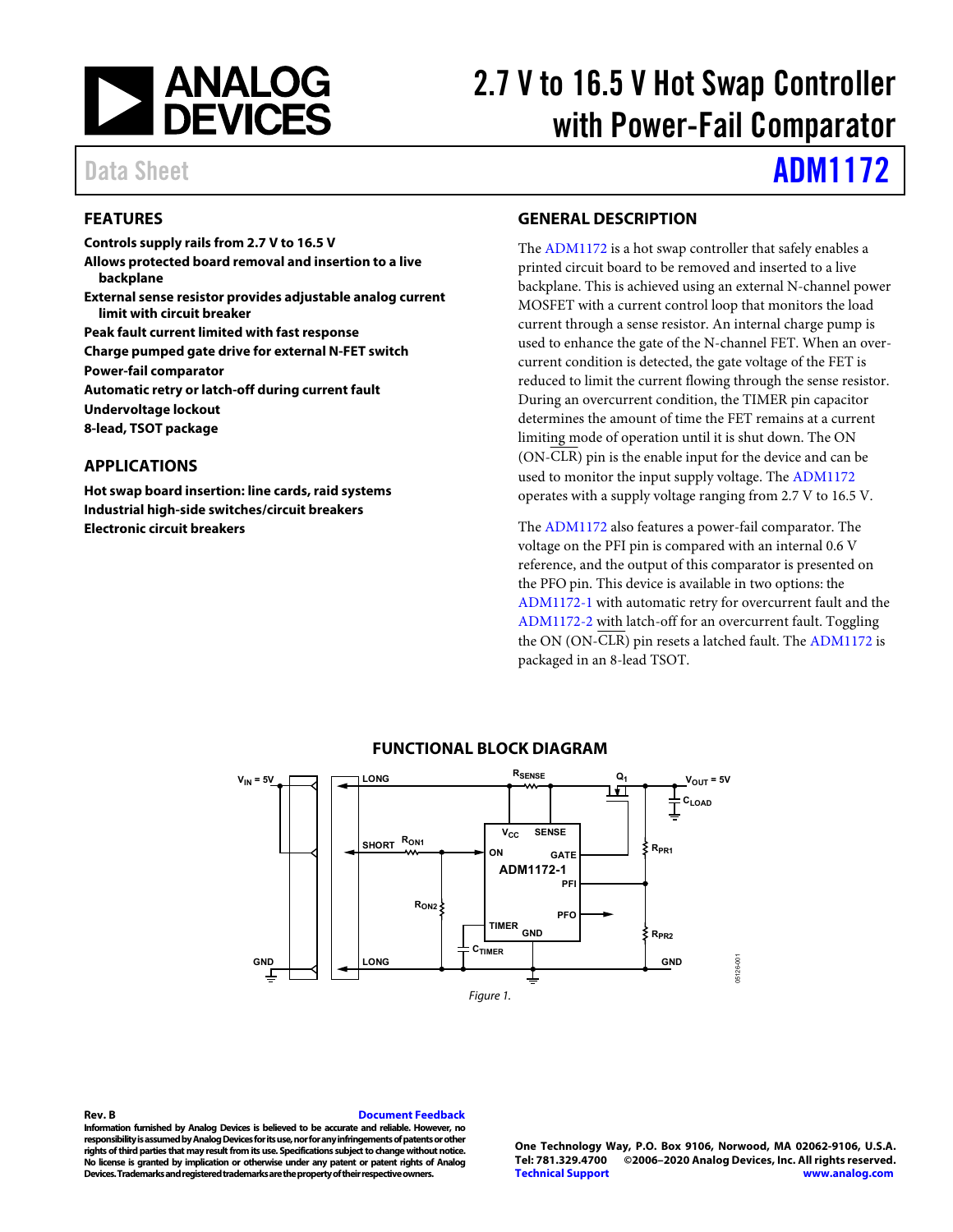

# 2.7 V to 16.5 V Hot Swap Controller with Power-Fail Comparator

# Data Sheet **[ADM1172](http://www.analog.com/ADM1172?doc=ADM1172.pdf)**

# <span id="page-0-0"></span>**FEATURES**

**Controls supply rails from 2.7 V to 16.5 V** 

- **Allows protected board removal and insertion to a live backplane**
- **External sense resistor provides adjustable analog current limit with circuit breaker**

**Peak fault current limited with fast response** 

**Charge pumped gate drive for external N-FET switch** 

**Power-fail comparator** 

**Automatic retry or latch-off during current fault** 

**Undervoltage lockout** 

<span id="page-0-1"></span>**8-lead, TSOT package** 

### **APPLICATIONS**

**Hot swap board insertion: line cards, raid systems Industrial high-side switches/circuit breakers Electronic circuit breakers** 

### <span id="page-0-2"></span>**GENERAL DESCRIPTION**

The [ADM1172](http://www.analog.com/ADM1172?doc=ADM1172.pdf) is a hot swap controller that safely enables a printed circuit board to be removed and inserted to a live backplane. This is achieved using an external N-channel power MOSFET with a current control loop that monitors the load current through a sense resistor. An internal charge pump is used to enhance the gate of the N-channel FET. When an overcurrent condition is detected, the gate voltage of the FET is reduced to limit the current flowing through the sense resistor. During an overcurrent condition, the TIMER pin capacitor determines the amount of time the FET remains at a current limiting mode of operation until it is shut down. The ON (ON-CLR) pin is the enable input for the device and can be used to monitor the input supply voltage. Th[e ADM1172](http://www.analog.com/ADM1172?doc=ADM1172.pdf) operates with a supply voltage ranging from 2.7 V to 16.5 V.

The [ADM1172](http://www.analog.com/ADM1172?doc=ADM1172.pdf) also features a power-fail comparator. The voltage on the PFI pin is compared with an internal 0.6 V reference, and the output of this comparator is presented on the PFO pin. This device is available in two options: the [ADM1172-1](http://www.analog.com/ADM1172?doc=ADM1172.pdf) with automatic retry for overcurrent fault and the [ADM1172-2](http://www.analog.com/ADM1172?doc=ADM1172.pdf) with latch-off for an overcurrent fault. Toggling the ON (ON-CLR) pin resets a latched fault. Th[e ADM1172](http://www.analog.com/ADM1172?doc=ADM1172.pdf) is packaged in an 8-lead TSOT.

<span id="page-0-3"></span>

### **FUNCTIONAL BLOCK DIAGRAM**

**Rev. B [Document Feedback](https://form.analog.com/Form_Pages/feedback/documentfeedback.aspx?doc=ADM1172.pdf&product=ADM1172&rev=B)** 

**Information furnished by Analog Devices is believed to be accurate and reliable. However, no responsibility is assumed by Analog Devices for its use, nor for any infringements of patents or other rights of third parties that may result from its use. Specifications subject to change without notice. No license is granted by implication or otherwise under any patent or patent rights of Analog Devices. Trademarks and registered trademarks are the property of their respective owners.** 

**One Technology Way, P.O. Box 9106, Norwood, MA 02062-9106, U.S.A. Tel: 781.329.4700 ©2006–2020 Analog Devices, Inc. All rights reserved. [Technical Support](http://www.analog.com/en/content/technical_support_page/fca.html) [www.analog.com](http://www.analog.com/)**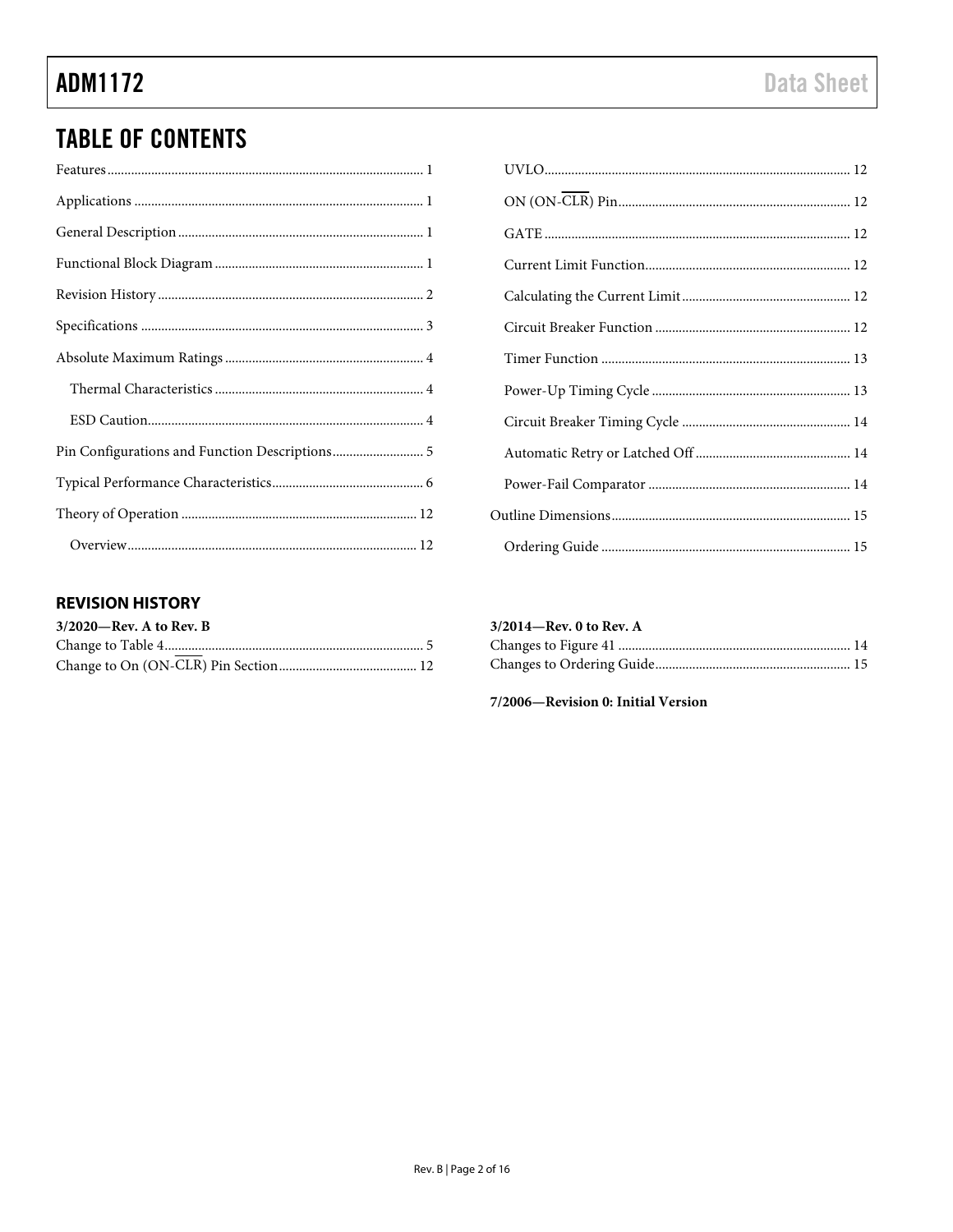# **TABLE OF CONTENTS**

# 

## <span id="page-1-0"></span>**REVISION HISTORY**

| $3/2020$ —Rev. A to Rev. B |  |
|----------------------------|--|
|                            |  |
|                            |  |

### $3/2014 - Rev. 0$  to Rev. A

7/2006-Revision 0: Initial Version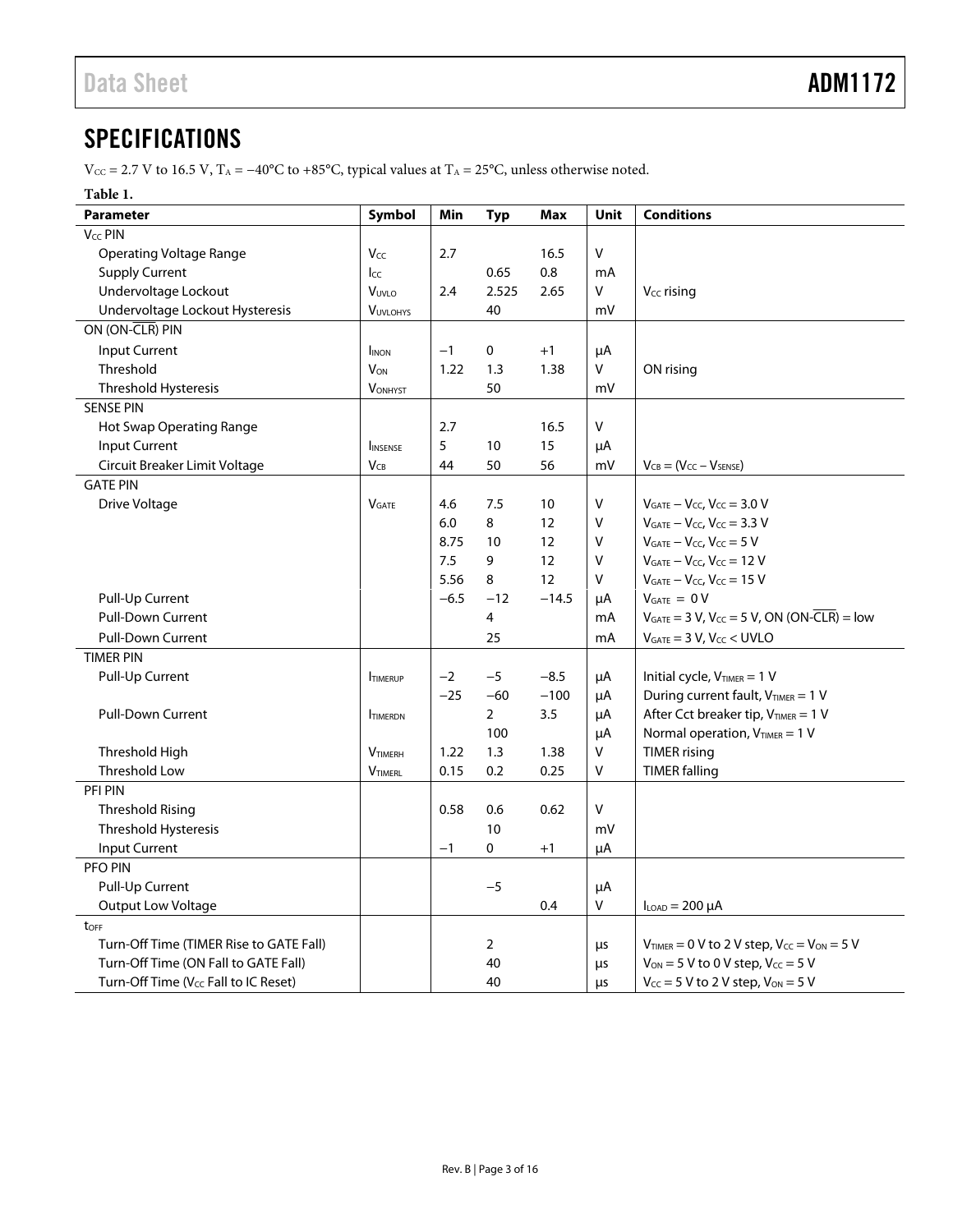# <span id="page-2-0"></span>**SPECIFICATIONS**

 $V_{CC} = 2.7$  V to 16.5 V, T<sub>A</sub> = −40°C to +85°C, typical values at T<sub>A</sub> = 25°C, unless otherwise noted.

### **Table 1.**

| <b>Parameter</b>                        | Symbol          | Min    | <b>Typ</b> | <b>Max</b> | Unit                                       | <b>Conditions</b>                                      |
|-----------------------------------------|-----------------|--------|------------|------------|--------------------------------------------|--------------------------------------------------------|
| V <sub>CC</sub> PIN                     |                 |        |            |            |                                            |                                                        |
| <b>Operating Voltage Range</b>          | Vcc             | 2.7    |            | 16.5       | V                                          |                                                        |
| <b>Supply Current</b>                   | Icc             |        | 0.65       | 0.8        | mA                                         |                                                        |
| Undervoltage Lockout                    | VUVLO           | 2.4    | 2.525      | 2.65       | V                                          | $V_{CC}$ rising                                        |
| Undervoltage Lockout Hysteresis         | <b>VUVLOHYS</b> |        | 40         |            | m٧                                         |                                                        |
| ON (ON-CLR) PIN                         |                 |        |            |            |                                            |                                                        |
| Input Current                           | <b>I</b> INON   | $-1$   | 0          | $+1$       | μA                                         |                                                        |
| Threshold                               | <b>VON</b>      | 1.22   | 1.3        | 1.38       | V                                          | ON rising                                              |
| Threshold Hysteresis                    | <b>VONHYST</b>  |        | 50         |            | mV                                         |                                                        |
| <b>SENSE PIN</b>                        |                 |        |            |            |                                            |                                                        |
| Hot Swap Operating Range                |                 | 2.7    |            | 16.5       | V                                          |                                                        |
| Input Current                           | <b>INSENSE</b>  | 5      | 10         | 15         | μA                                         |                                                        |
| Circuit Breaker Limit Voltage           | $V_{CB}$        | 44     | 50         | 56         | m٧                                         | $V_{CB} = (V_{CC} - V_{SENSE})$                        |
| <b>GATE PIN</b>                         |                 |        |            |            |                                            |                                                        |
| Drive Voltage                           | <b>VGATE</b>    | 4.6    | 7.5        | 10         | V                                          | $V_{GATE} - V_{CC}$ , $V_{CC} = 3.0$ V                 |
|                                         |                 | 6.0    | 8          | 12         | ٧                                          | $V_{GATE} - V_{CC}$ , $V_{CC} = 3.3$ V                 |
|                                         |                 | 8.75   | 10         | 12         | ٧                                          | $V_{GATE} - V_{CC}$ , $V_{CC} = 5 V$                   |
|                                         |                 | 7.5    | 9          | 12         | V                                          | $V_{GATE} - V_{CC}$ , $V_{CC} = 12 V$                  |
|                                         |                 | 5.56   | 8          | 12         | v                                          | $V_{GATE} - V_{CC}$ , $V_{CC} = 15$ V                  |
| Pull-Up Current                         |                 | $-6.5$ | $-12$      | $-14.5$    | μA                                         | $V_{GATE} = 0 V$                                       |
| <b>Pull-Down Current</b>                |                 |        | 4          |            | mA                                         | $V_{GATE} = 3 V$ , $V_{CC} = 5 V$ , ON (ON-CLR) = low  |
| <b>Pull-Down Current</b>                |                 |        | 25         |            | mA                                         | $V_{GATE} = 3 V$ , $V_{CC} < UVLO$                     |
| <b>TIMER PIN</b>                        |                 |        |            |            |                                            |                                                        |
| Pull-Up Current                         | <b>ITIMERUP</b> | $-2$   | $-5$       | $-8.5$     | μA                                         | Initial cycle, $V_{TIMER} = 1 V$                       |
|                                         |                 | $-25$  | $-60$      | $-100$     | μA                                         | During current fault, V <sub>TIMER</sub> = 1 V         |
| <b>Pull-Down Current</b>                | <b>TIMERDN</b>  |        | 2          | 3.5        | μA                                         | After Cct breaker tip, VTIMER = 1 V                    |
|                                         |                 |        | 100        |            | μA                                         | Normal operation, $V_{TIMER} = 1 V$                    |
| Threshold High                          | <b>VTIMERH</b>  | 1.22   | 1.3        | 1.38       | V                                          | <b>TIMER</b> rising                                    |
| <b>Threshold Low</b>                    | <b>VTIMERL</b>  | 0.15   | 0.2        | 0.25       | v                                          | <b>TIMER falling</b>                                   |
| PFI PIN                                 |                 |        |            |            |                                            |                                                        |
| <b>Threshold Rising</b>                 |                 | 0.58   | 0.6        | 0.62       | V                                          |                                                        |
| Threshold Hysteresis                    |                 |        | 10         |            | m٧                                         |                                                        |
| Input Current                           |                 | $-1$   | 0          | $+1$       | μA                                         |                                                        |
| PFO PIN                                 |                 |        |            |            |                                            |                                                        |
| Pull-Up Current                         |                 |        | $-5$       |            | μA                                         |                                                        |
| <b>Output Low Voltage</b>               |                 |        |            | 0.4        | V                                          | $I_{LOAD} = 200 \mu A$                                 |
| toFF                                    |                 |        |            |            |                                            |                                                        |
| Turn-Off Time (TIMER Rise to GATE Fall) |                 |        | 2          |            | μs                                         | $V_{TIMER} = 0$ V to 2 V step, $V_{CC} = V_{ON} = 5$ V |
| Turn-Off Time (ON Fall to GATE Fall)    |                 |        | 40         |            | μs                                         | $V_{ON} = 5 V$ to 0 V step, $V_{CC} = 5 V$             |
| Turn-Off Time (Vcc Fall to IC Reset)    |                 | 40     |            | μs         | $V_{CC}$ = 5 V to 2 V step, $V_{ON}$ = 5 V |                                                        |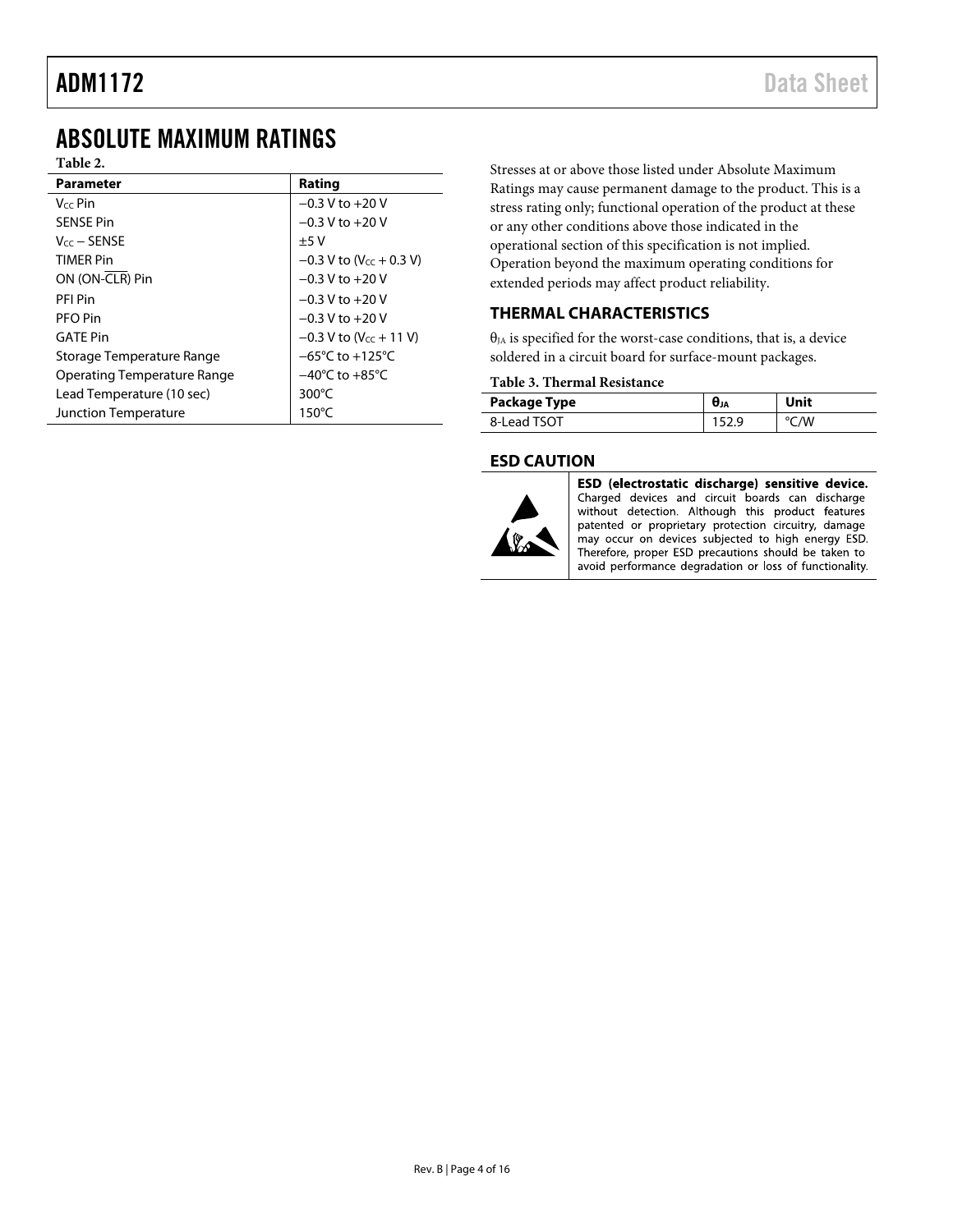# <span id="page-3-0"></span>ABSOLUTE MAXIMUM RATINGS

### **Table 2.**

| <b>Parameter</b>            | Rating                                |
|-----------------------------|---------------------------------------|
| $V_{cc}$ Pin                | $-0.3$ V to $+20$ V                   |
| <b>SFNSF Pin</b>            | $-0.3$ V to $+20$ V                   |
| $V_{cc}$ – SENSE            | $+5V$                                 |
| <b>TIMFR Pin</b>            | $-0.3$ V to (V <sub>cc</sub> + 0.3 V) |
| ON (ON-CLR) Pin             | $-0.3$ V to $+20$ V                   |
| PFI Pin                     | $-0.3$ V to $+20$ V                   |
| PFO Pin                     | $-0.3$ V to $+20$ V                   |
| <b>GATF Pin</b>             | $-0.3$ V to (V <sub>CC</sub> + 11 V)  |
| Storage Temperature Range   | $-65^{\circ}$ C to $+125^{\circ}$ C   |
| Operating Temperature Range | $-40^{\circ}$ C to $+85^{\circ}$ C    |
| Lead Temperature (10 sec)   | 300 $\degree$ C                       |
| Junction Temperature        | $150^{\circ}$ C                       |

Stresses at or above those listed under Absolute Maximum Ratings may cause permanent damage to the product. This is a stress rating only; functional operation of the product at these or any other conditions above those indicated in the operational section of this specification is not implied. Operation beyond the maximum operating conditions for extended periods may affect product reliability.

## <span id="page-3-1"></span>**THERMAL CHARACTERISTICS**

 $\theta_{JA}$  is specified for the worst-case conditions, that is, a device soldered in a circuit board for surface-mount packages.

#### **Table 3. Thermal Resistance**

| Package Type | UJA | Unit |
|--------------|-----|------|
| 8-Lead TSOT  | ገ ር | /W   |

### <span id="page-3-2"></span>**ESD CAUTION**



ESD (electrostatic discharge) sensitive device. Charged devices and circuit boards can discharge without detection. Although this product features patented or proprietary protection circuitry, damage may occur on devices subjected to high energy ESD. Therefore, proper ESD precautions should be taken to avoid performance degradation or loss of functionality.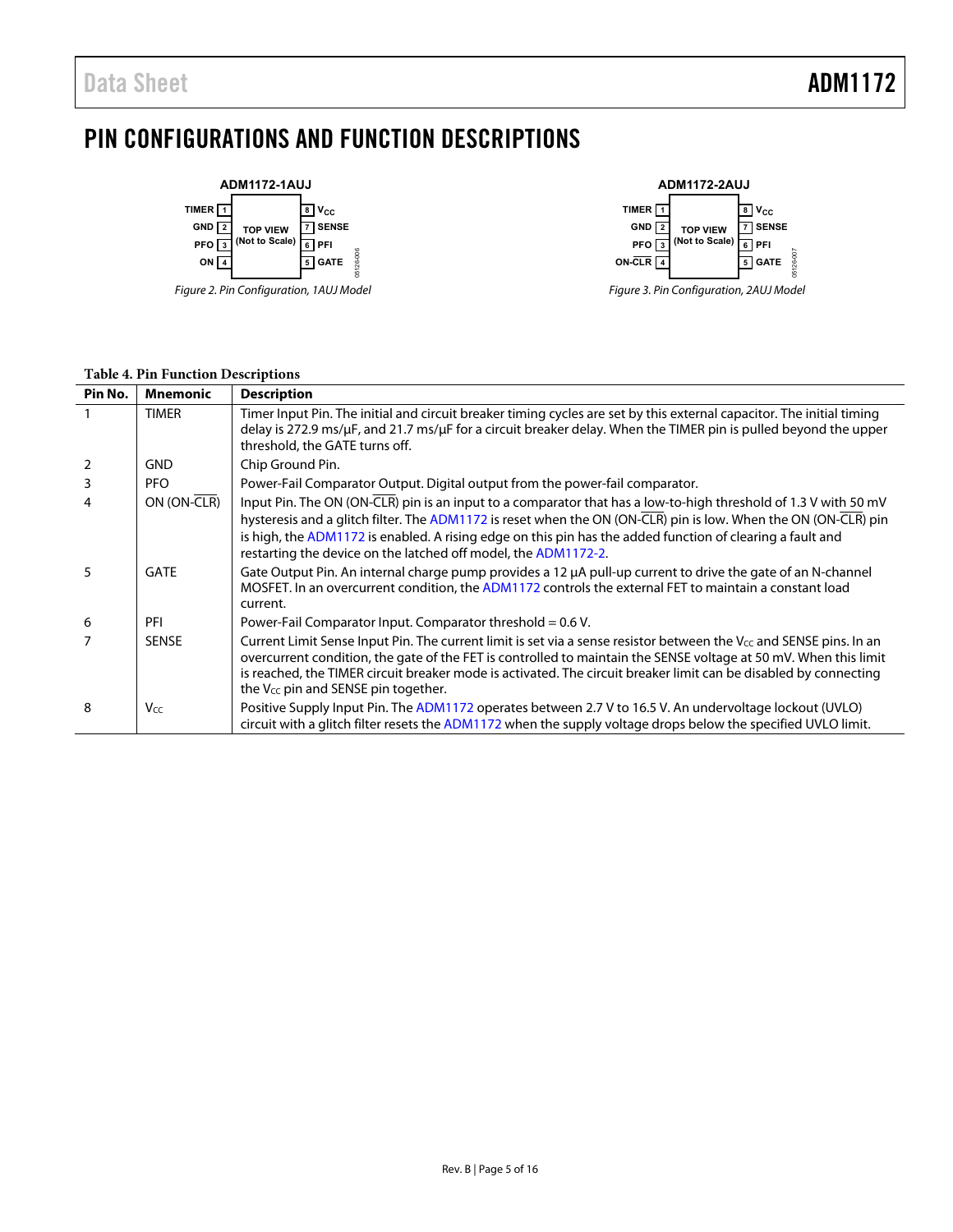# <span id="page-4-0"></span>PIN CONFIGURATIONS AND FUNCTION DESCRIPTIONS



Figure 2. Pin Configuration, 1AUJ Model



Figure 3. Pin Configuration, 2AUJ Model

| Pin No. | <b>Mnemonic</b> | <b>Description</b>                                                                                                                                                                                                                                                                                                                                                                                                  |
|---------|-----------------|---------------------------------------------------------------------------------------------------------------------------------------------------------------------------------------------------------------------------------------------------------------------------------------------------------------------------------------------------------------------------------------------------------------------|
|         | <b>TIMER</b>    | Timer Input Pin. The initial and circuit breaker timing cycles are set by this external capacitor. The initial timing<br>delay is 272.9 ms/µF, and 21.7 ms/µF for a circuit breaker delay. When the TIMER pin is pulled beyond the upper<br>threshold, the GATE turns off.                                                                                                                                          |
| 2       | <b>GND</b>      | Chip Ground Pin.                                                                                                                                                                                                                                                                                                                                                                                                    |
| 3       | PFO.            | Power-Fail Comparator Output. Digital output from the power-fail comparator.                                                                                                                                                                                                                                                                                                                                        |
|         | ON (ON-CLR)     | Input Pin. The ON (ON-CLR) pin is an input to a comparator that has a low-to-high threshold of 1.3 V with 50 mV<br>hysteresis and a glitch filter. The ADM1172 is reset when the ON (ON-CLR) pin is low. When the ON (ON-CLR) pin<br>is high, the ADM1172 is enabled. A rising edge on this pin has the added function of clearing a fault and<br>restarting the device on the latched off model, the ADM1172-2.    |
| 5       | <b>GATE</b>     | Gate Output Pin. An internal charge pump provides a 12 µA pull-up current to drive the gate of an N-channel<br>MOSFET. In an overcurrent condition, the ADM1172 controls the external FET to maintain a constant load<br>current.                                                                                                                                                                                   |
| 6       | PFI             | Power-Fail Comparator Input. Comparator threshold = $0.6$ V.                                                                                                                                                                                                                                                                                                                                                        |
|         | <b>SENSE</b>    | Current Limit Sense Input Pin. The current limit is set via a sense resistor between the V $_{\text{CC}}$ and SENSE pins. In an<br>overcurrent condition, the gate of the FET is controlled to maintain the SENSE voltage at 50 mV. When this limit<br>is reached, the TIMER circuit breaker mode is activated. The circuit breaker limit can be disabled by connecting<br>the $V_{cc}$ pin and SENSE pin together. |
| 8       | Vcc             | Positive Supply Input Pin. The ADM1172 operates between 2.7 V to 16.5 V. An undervoltage lockout (UVLO)<br>circuit with a glitch filter resets the ADM1172 when the supply voltage drops below the specified UVLO limit.                                                                                                                                                                                            |

#### **Table 4. Pin Function Descriptions**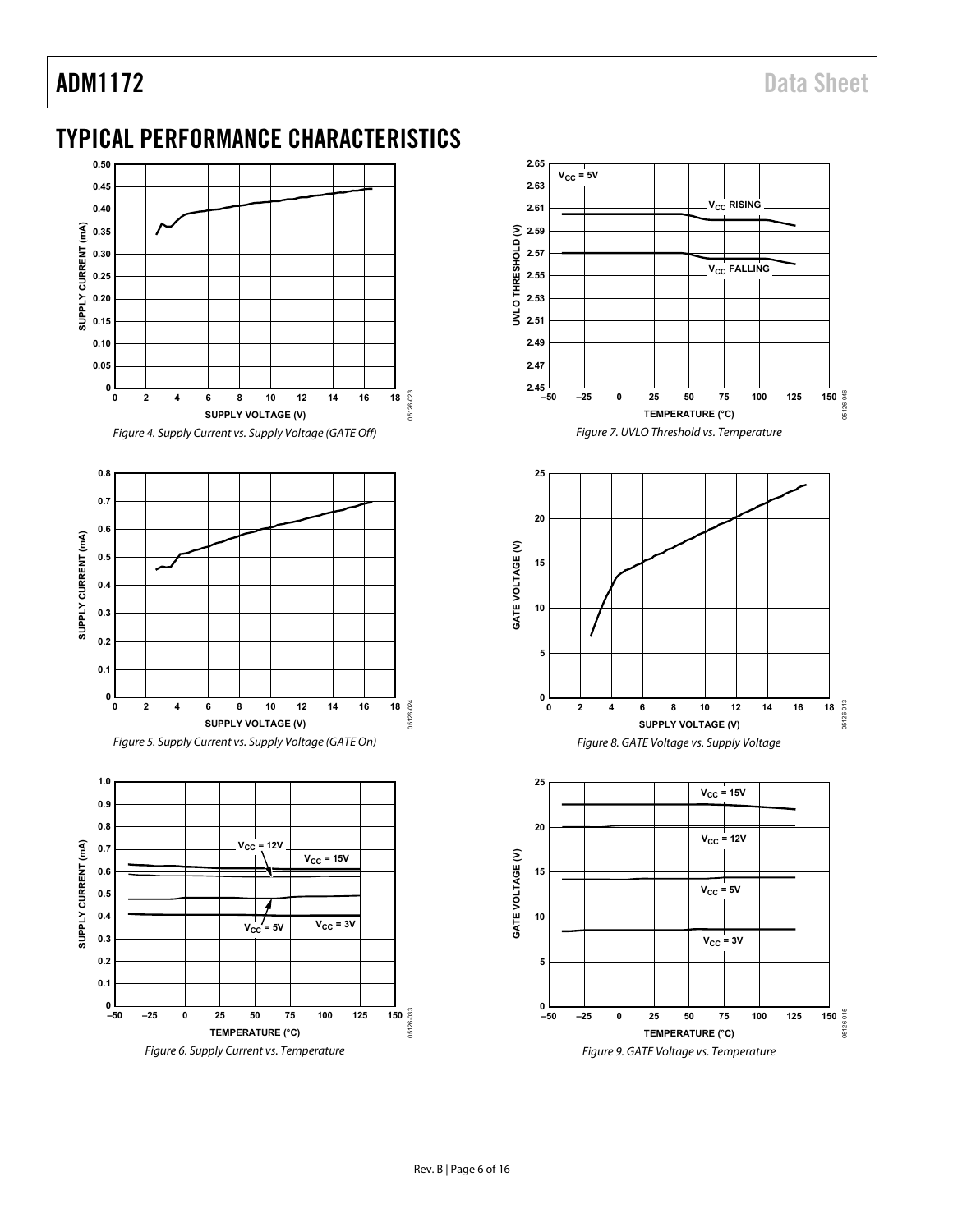# <span id="page-5-0"></span>TYPICAL PERFORMANCE CHARACTERISTICS



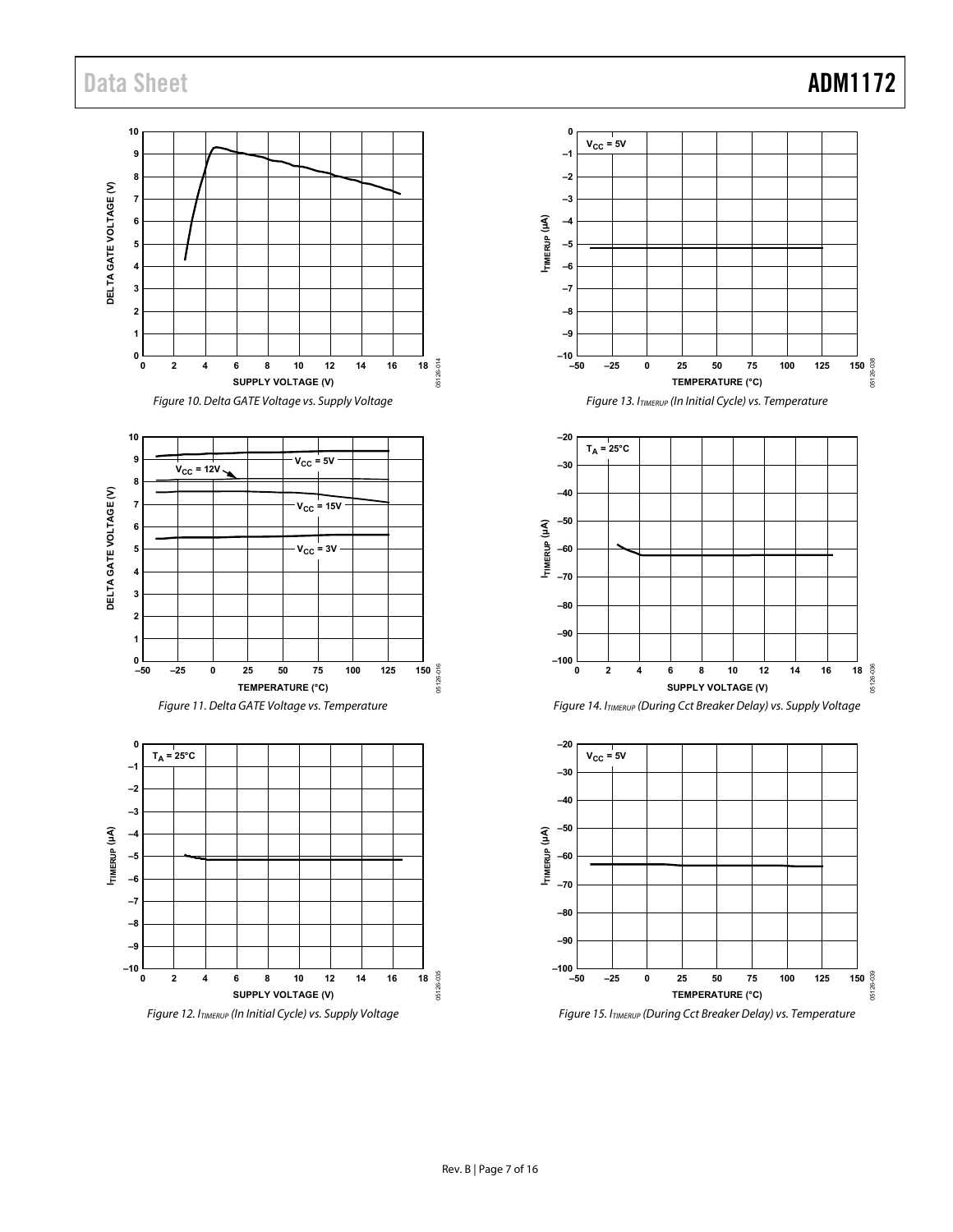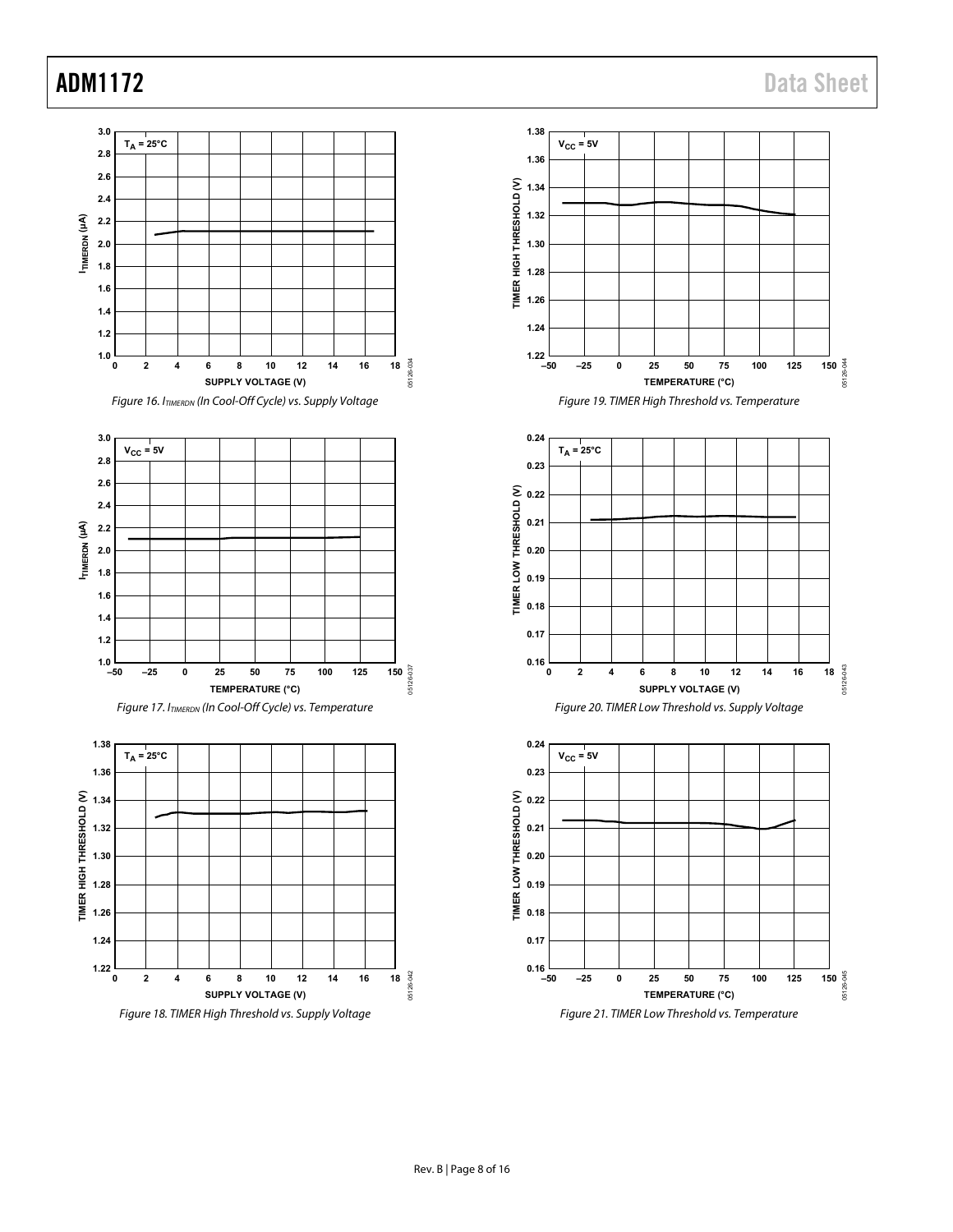# ADM1172 Data Sheet

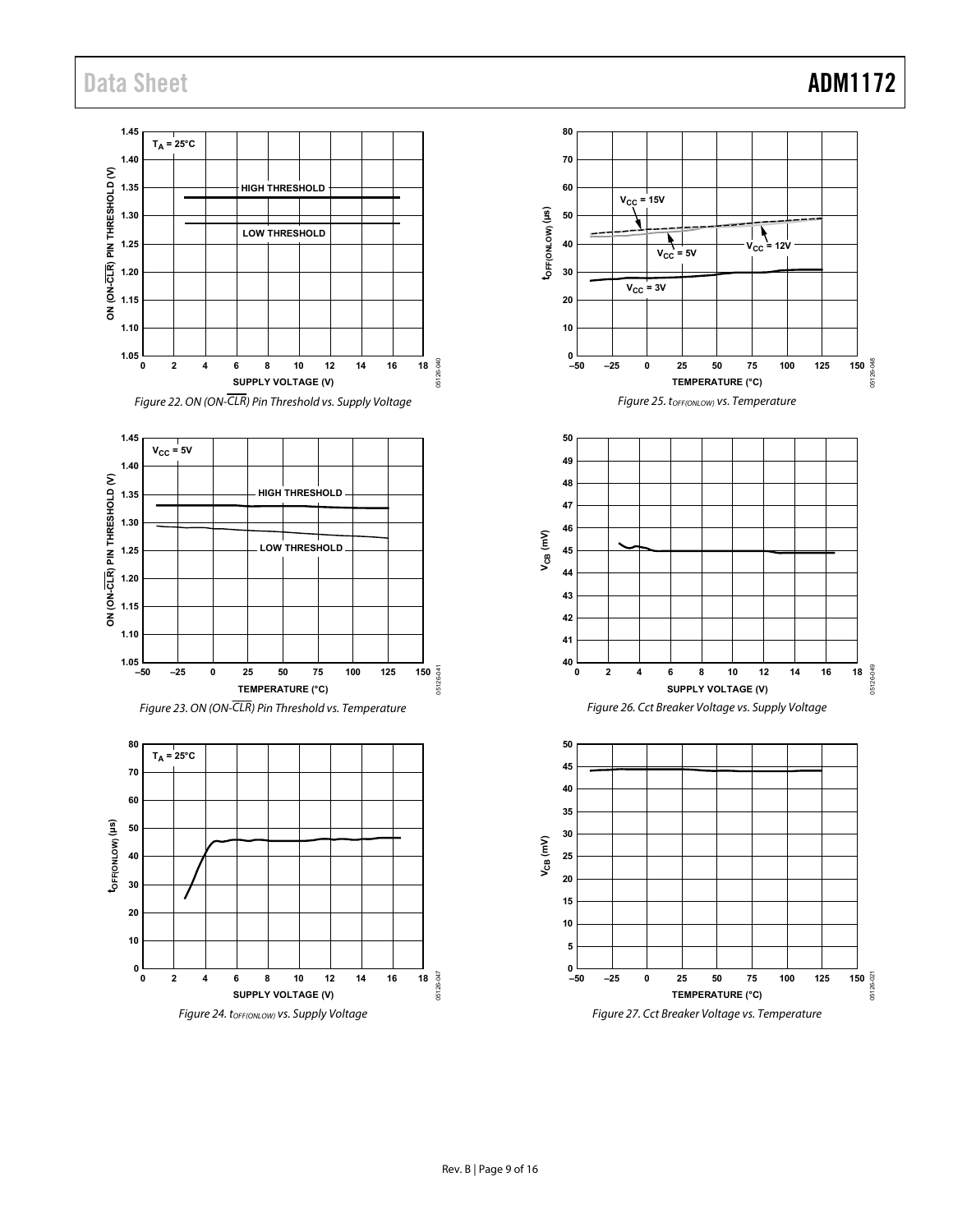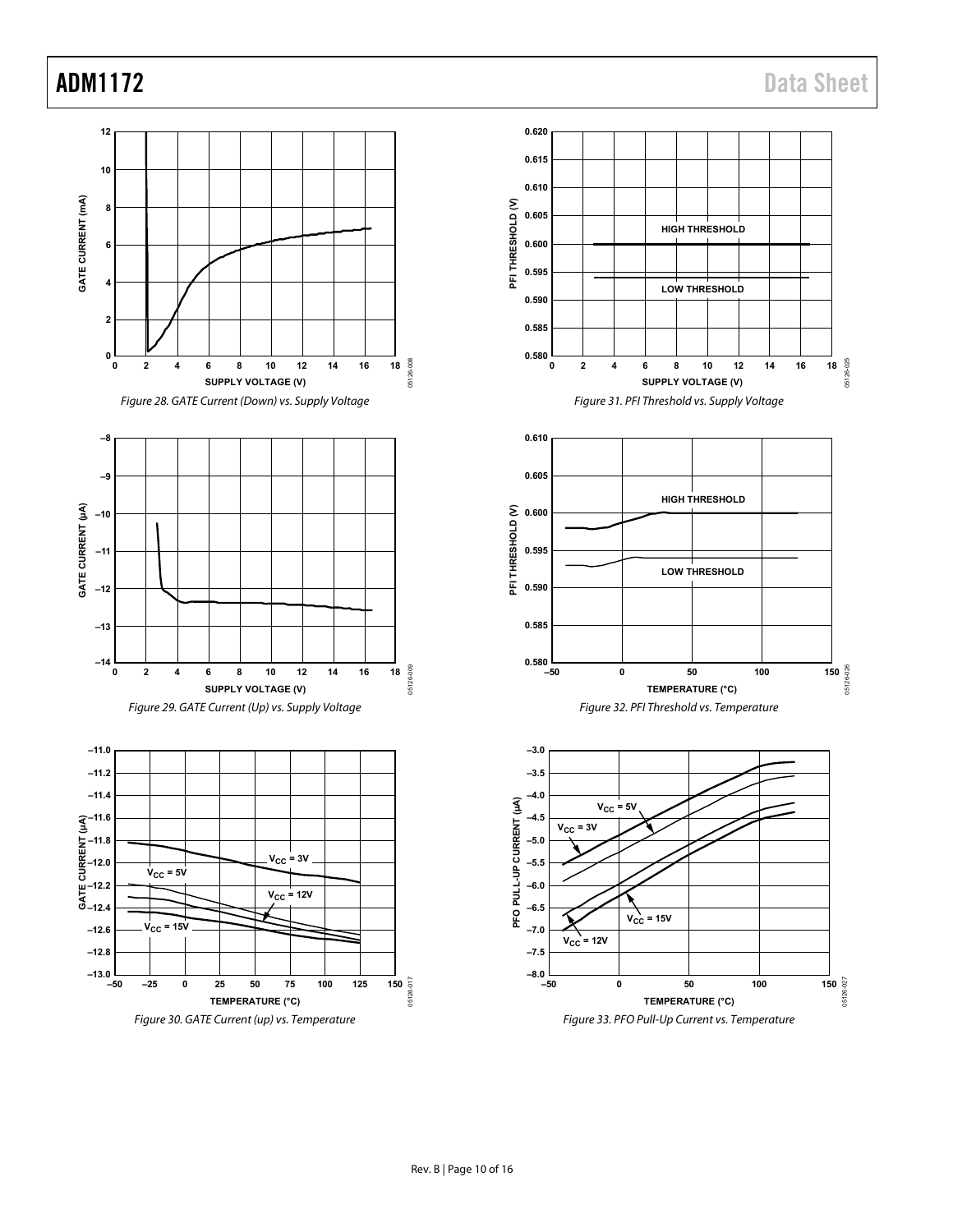# ADM1172 Data Sheet

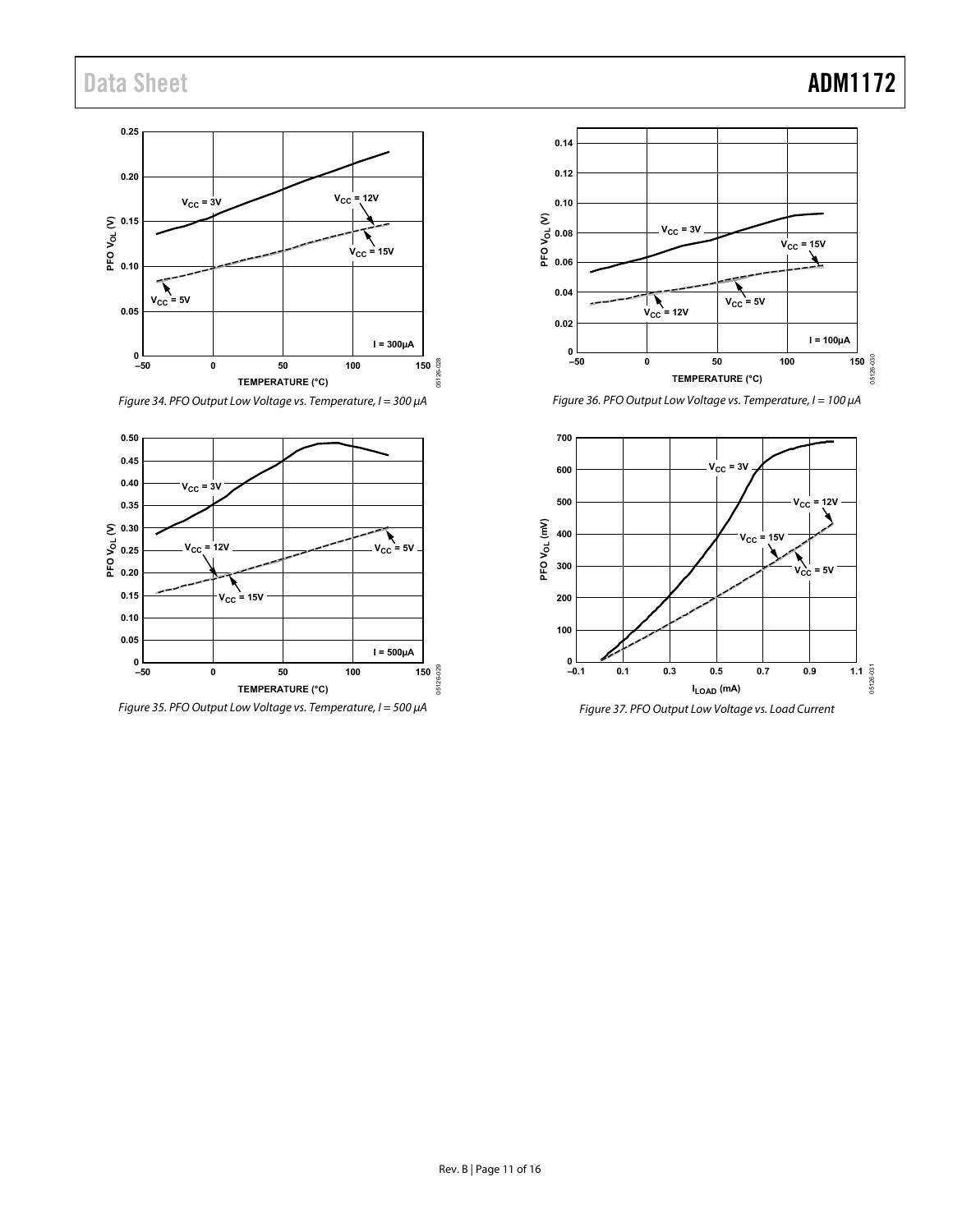#### **0.25 0.20**  $V_{CC} = 12V$  $V_{CC} = 3V$ **PFO VOL (V) 0.15**  $V_{CC} = 15V$ **0.10**  $V_{\text{CC}} = 5V$ **0.05 I = 300µA** ــا 0<br>50– **0 50 100** 05126-028 **–50 150**  $35126$ **TEMPERATURE (°C)**

Figure 34. PFO Output Low Voltage vs. Temperature, I = 300 μA



Figure 35. PFO Output Low Voltage vs. Temperature, I = 500 μA



Figure 36. PFO Output Low Voltage vs. Temperature, I = 100 μA

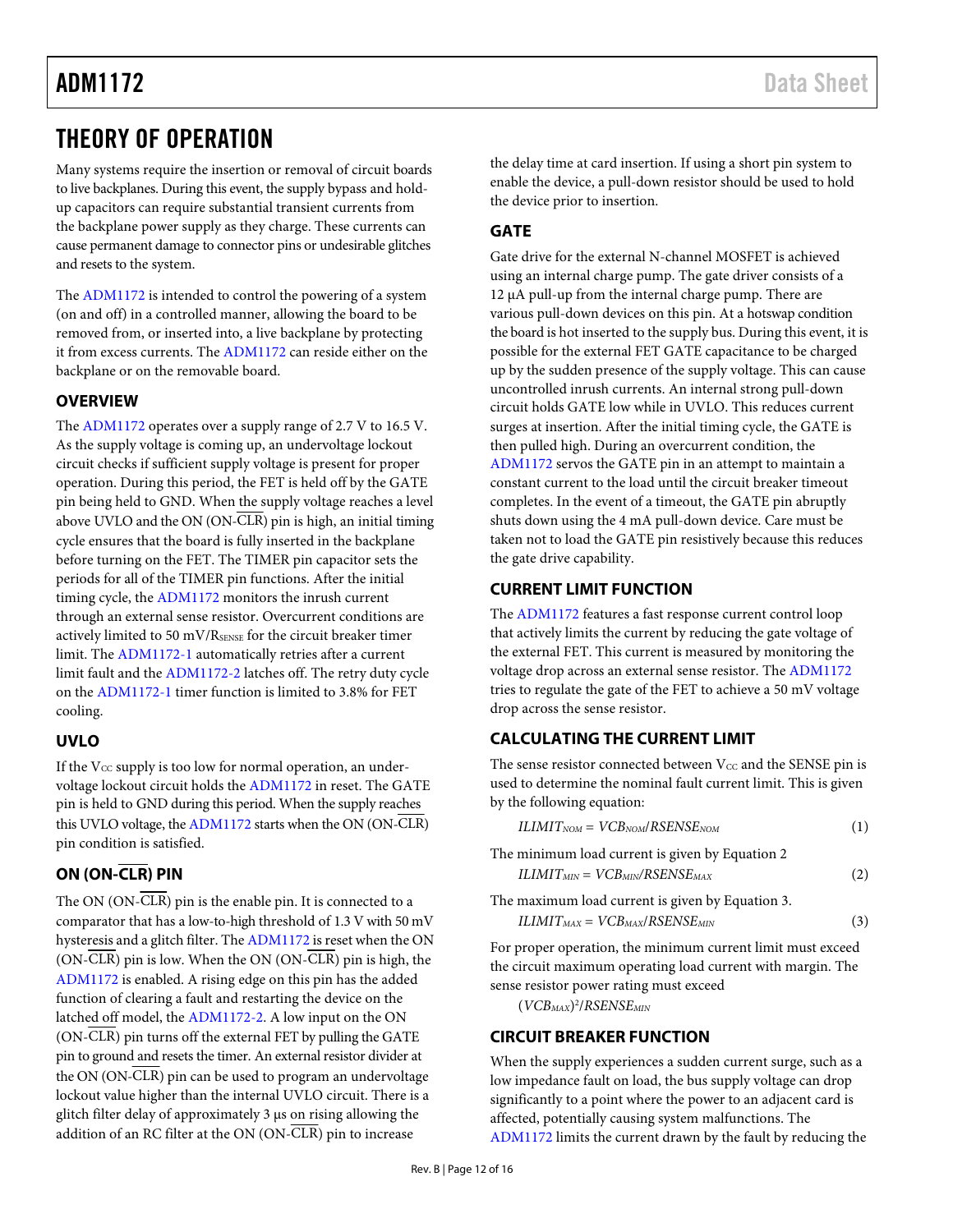# <span id="page-11-0"></span>THEORY OF OPERATION

Many systems require the insertion or removal of circuit boards to live backplanes. During this event, the supply bypass and holdup capacitors can require substantial transient currents from the backplane power supply as they charge. These currents can cause permanent damage to connector pins or undesirable glitches and resets to the system.

The [ADM1172](http://www.analog.com/ADM1172?doc=ADM1172.pdf) is intended to control the powering of a system (on and off) in a controlled manner, allowing the board to be removed from, or inserted into, a live backplane by protecting it from excess currents. Th[e ADM1172 c](http://www.analog.com/ADM1172?doc=ADM1172.pdf)an reside either on the backplane or on the removable board.

## <span id="page-11-1"></span>**OVERVIEW**

The [ADM1172](http://www.analog.com/ADM1172?doc=ADM1172.pdf) operates over a supply range of 2.7 V to 16.5 V. As the supply voltage is coming up, an undervoltage lockout circuit checks if sufficient supply voltage is present for proper operation. During this period, the FET is held off by the GATE pin being held to GND. When the supply voltage reaches a level above UVLO and the ON (ON-CLR) pin is high, an initial timing cycle ensures that the board is fully inserted in the backplane before turning on the FET. The TIMER pin capacitor sets the periods for all of the TIMER pin functions. After the initial timing cycle, the [ADM1172](http://www.analog.com/ADM1172?doc=ADM1172.pdf) monitors the inrush current through an external sense resistor. Overcurrent conditions are actively limited to 50 mV/RSENSE for the circuit breaker timer limit. Th[e ADM1172-1 a](http://www.analog.com/ADM1172?doc=ADM1172.pdf)utomatically retries after a current limit fault and th[e ADM1172-2](http://www.analog.com/ADM1172?doc=ADM1172.pdf) latches off. The retry duty cycle on th[e ADM1172-1 t](http://www.analog.com/ADM1172?doc=ADM1172.pdf)imer function is limited to 3.8% for FET cooling.

## <span id="page-11-2"></span>**UVLO**

If the  $V_{CC}$  supply is too low for normal operation, an undervoltage lockout circuit holds th[e ADM1172](http://www.analog.com/ADM1172?doc=ADM1172.pdf) in reset. The GATE pin is held to GND during this period. When the supply reaches this UVLO voltage, th[e ADM1172](http://www.analog.com/ADM1172?doc=ADM1172.pdf) starts when the ON (ON-CLR) pin condition is satisfied.

# <span id="page-11-3"></span>**ON (ON-CLR) PIN**

The ON (ON-CLR) pin is the enable pin. It is connected to a comparator that has a low-to-high threshold of 1.3 V with 50 mV hysteresis and a glitch filter. Th[e ADM1172 i](http://www.analog.com/ADM1172?doc=ADM1172.pdf)s reset when the ON  $(ON-CLR)$  pin is low. When the ON  $(ON-CLR)$  pin is high, the [ADM1172](http://www.analog.com/ADM1172?doc=ADM1172.pdf) is enabled. A rising edge on this pin has the added function of clearing a fault and restarting the device on the latched off model, th[e ADM1172-2.](http://www.analog.com/ADM1172?doc=ADM1172.pdf) A low input on the ON (ON-CLR) pin turns off the external FET by pulling the GATE pin to ground and resets the timer. An external resistor divider at the ON (ON-CLR) pin can be used to program an undervoltage lockout value higher than the internal UVLO circuit. There is a glitch filter delay of approximately 3 μs on rising allowing the addition of an RC filter at the ON (ON-CLR) pin to increase

the delay time at card insertion. If using a short pin system to enable the device, a pull-down resistor should be used to hold the device prior to insertion.

### <span id="page-11-4"></span>**GATE**

Gate drive for the external N-channel MOSFET is achieved using an internal charge pump. The gate driver consists of a 12 μA pull-up from the internal charge pump. There are various pull-down devices on this pin. At a hotswap condition the board is hot inserted to the supply bus. During this event, it is possible for the external FET GATE capacitance to be charged up by the sudden presence of the supply voltage. This can cause uncontrolled inrush currents. An internal strong pull-down circuit holds GATE low while in UVLO. This reduces current surges at insertion. After the initial timing cycle, the GATE is then pulled high. During an overcurrent condition, the [ADM1172](http://www.analog.com/ADM1172?doc=ADM1172.pdf) servos the GATE pin in an attempt to maintain a constant current to the load until the circuit breaker timeout completes. In the event of a timeout, the GATE pin abruptly shuts down using the 4 mA pull-down device. Care must be taken not to load the GATE pin resistively because this reduces the gate drive capability.

## <span id="page-11-5"></span>**CURRENT LIMIT FUNCTION**

The [ADM1172](http://www.analog.com/ADM1172?doc=ADM1172.pdf) features a fast response current control loop that actively limits the current by reducing the gate voltage of the external FET. This current is measured by monitoring the voltage drop across an external sense resistor. The [ADM1172](http://www.analog.com/ADM1172?doc=ADM1172.pdf) tries to regulate the gate of the FET to achieve a 50 mV voltage drop across the sense resistor.

## <span id="page-11-6"></span>**CALCULATING THE CURRENT LIMIT**

The sense resistor connected between  $V_{CC}$  and the SENSE pin is used to determine the nominal fault current limit. This is given by the following equation:

| $ILIMITNOM = VCBNOM/RSENSENOM$ |  |
|--------------------------------|--|
|--------------------------------|--|

The minimum load current is given by Equation 2  $ILIMIT_{MIN} = VCB_{MIN}/RSENSE_{MAX}$  (2)

The maximum load current is given by Equation 3.

$$
ILIMIT_{MAX} = VCB_{MAX}/RSENSE_{MIN}
$$
\n(3)

For proper operation, the minimum current limit must exceed the circuit maximum operating load current with margin. The sense resistor power rating must exceed

(*VCBMAX*) 2 /*RSENSEMIN*

## <span id="page-11-7"></span>**CIRCUIT BREAKER FUNCTION**

When the supply experiences a sudden current surge, such as a low impedance fault on load, the bus supply voltage can drop significantly to a point where the power to an adjacent card is affected, potentially causing system malfunctions. The [ADM1172](http://www.analog.com/ADM1172?doc=ADM1172.pdf) limits the current drawn by the fault by reducing the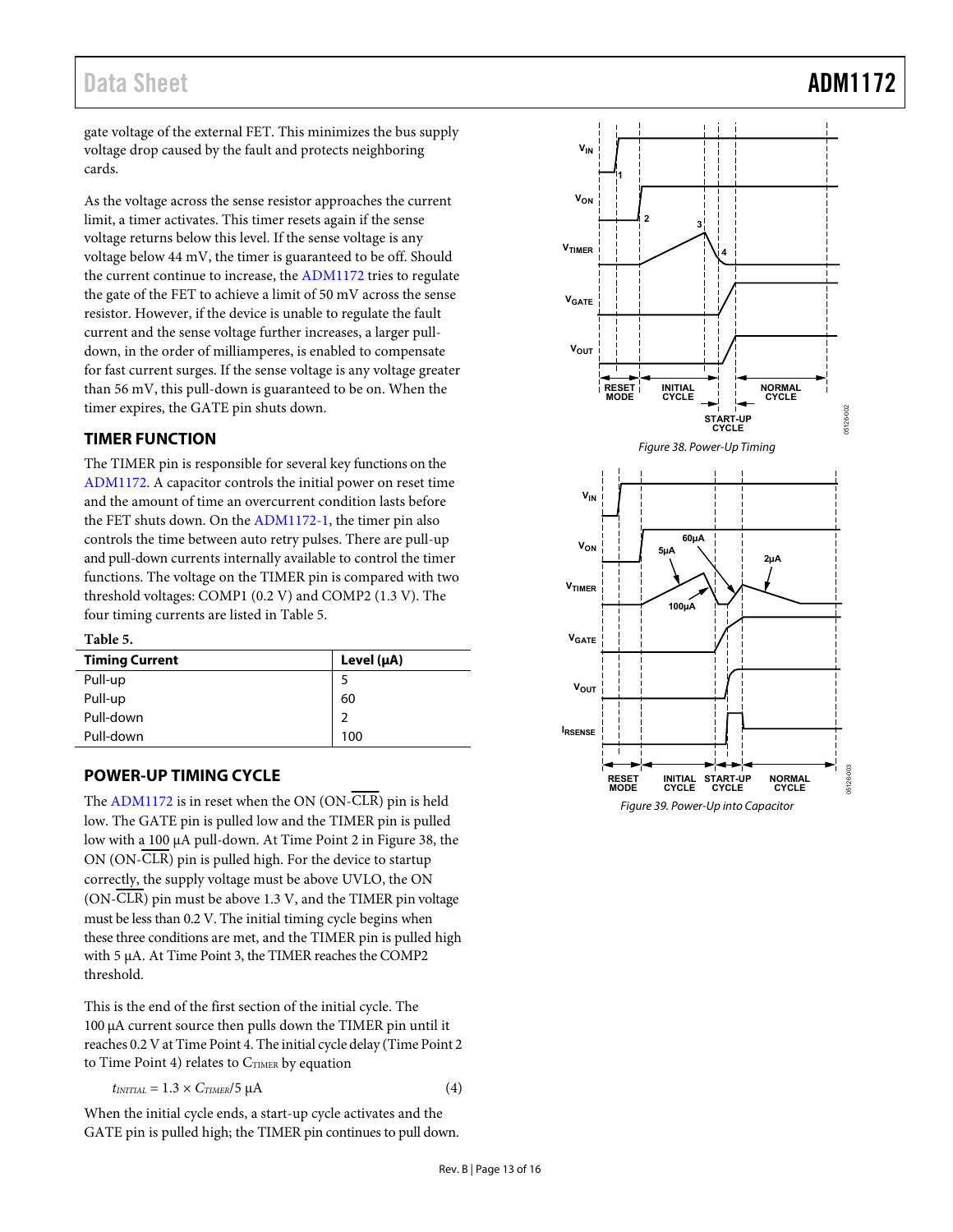gate voltage of the external FET. This minimizes the bus supply voltage drop caused by the fault and protects neighboring cards.

As the voltage across the sense resistor approaches the current limit, a timer activates. This timer resets again if the sense voltage returns below this level. If the sense voltage is any voltage below 44 mV, the timer is guaranteed to be off. Should the current continue to increase, the [ADM1172 t](http://www.analog.com/ADM1172?doc=ADM1172.pdf)ries to regulate the gate of the FET to achieve a limit of 50 mV across the sense resistor. However, if the device is unable to regulate the fault current and the sense voltage further increases, a larger pulldown, in the order of milliamperes, is enabled to compensate for fast current surges. If the sense voltage is any voltage greater than 56 mV, this pull-down is guaranteed to be on. When the timer expires, the GATE pin shuts down.

### <span id="page-12-0"></span>**TIMER FUNCTION**

The TIMER pin is responsible for several key functions on the [ADM1172.](http://www.analog.com/ADM1172?doc=ADM1172.pdf) A capacitor controls the initial power on reset time and the amount of time an overcurrent condition lasts before the FET shuts down. On the [ADM1172-1,](http://www.analog.com/ADM1172?doc=ADM1172.pdf) the timer pin also controls the time between auto retry pulses. There are pull-up and pull-down currents internally available to control the timer functions. The voltage on the TIMER pin is compared with two threshold voltages: COMP1 (0.2 V) and COMP2 (1.3 V). The four timing currents are listed in [Table 5.](#page-12-2) 

### <span id="page-12-2"></span>**Table 5.**

| <b>Timing Current</b> | Level $(\mu A)$ |
|-----------------------|-----------------|
| Pull-up               |                 |
| Pull-up               | 60              |
| Pull-down             | っ               |
| Pull-down             | 100             |

### <span id="page-12-1"></span>**POWER-UP TIMING CYCLE**

The [ADM1172 i](http://www.analog.com/ADM1172?doc=ADM1172.pdf)s in reset when the ON (ON-CLR) pin is held low. The GATE pin is pulled low and the TIMER pin is pulled low with a 100 μA pull-down. At Time Point 2 i[n Figure 38,](#page-12-3) the ON (ON-CLR) pin is pulled high. For the device to startup correctly, the supply voltage must be above UVLO, the ON (ON-CLR) pin must be above 1.3 V, and the TIMER pin voltage must be less than 0.2 V. The initial timing cycle begins when these three conditions are met, and the TIMER pin is pulled high with 5 μA. At Time Point 3, the TIMER reaches the COMP2 threshold.

This is the end of the first section of the initial cycle. The 100 μA current source then pulls down the TIMER pin until it reaches 0.2 V at Time Point 4. The initial cycle delay (Time Point 2 to Time Point 4) relates to  $C_{TIME}$  by equation

$$
t_{INITIAL} = 1.3 \times C_{TIMER} / 5 \mu A \tag{4}
$$

When the initial cycle ends, a start-up cycle activates and the GATE pin is pulled high; the TIMER pin continues to pull down.



Figure 38. Power-Up Timing

<span id="page-12-4"></span><span id="page-12-3"></span>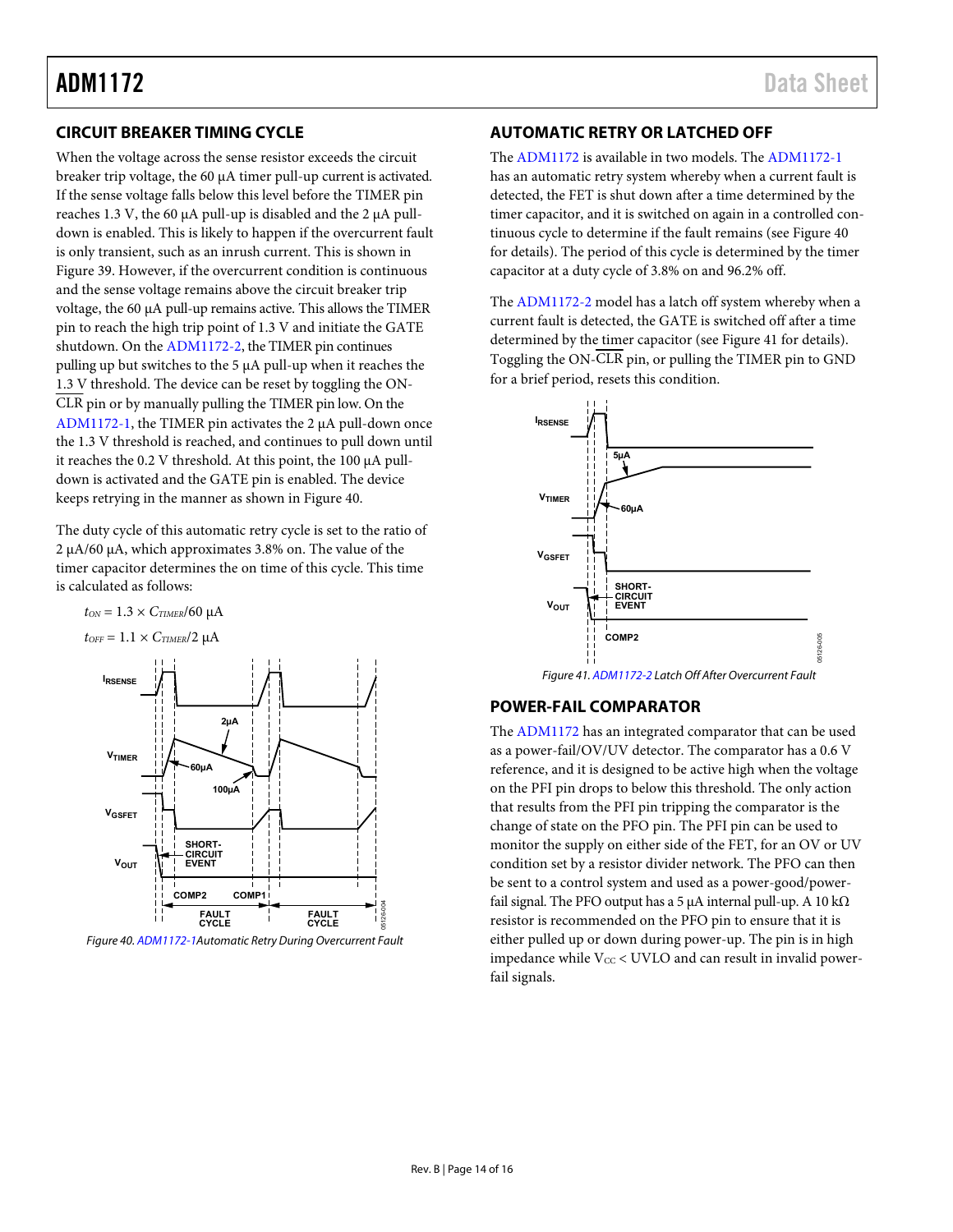### <span id="page-13-0"></span>**CIRCUIT BREAKER TIMING CYCLE**

When the voltage across the sense resistor exceeds the circuit breaker trip voltage, the 60 μA timer pull-up current is activated. If the sense voltage falls below this level before the TIMER pin reaches 1.3 V, the 60 μA pull-up is disabled and the 2 μA pulldown is enabled. This is likely to happen if the overcurrent fault is only transient, such as an inrush current. This is shown in [Figure 39.](#page-12-4) However, if the overcurrent condition is continuous and the sense voltage remains above the circuit breaker trip voltage, the 60 μA pull-up remains active. This allows the TIMER pin to reach the high trip point of 1.3 V and initiate the GATE shutdown. On th[e ADM1172-2,](http://www.analog.com/ADM1172?doc=ADM1172.pdf) the TIMER pin continues pulling up but switches to the 5 μA pull-up when it reaches the 1.3 V threshold. The device can be reset by toggling the ON-CLR pin or by manually pulling the TIMER pin low. On the [ADM1172-1](http://www.analog.com/ADM1172?doc=ADM1172.pdf), the TIMER pin activates the 2 μA pull-down once the 1.3 V threshold is reached, and continues to pull down until it reaches the 0.2 V threshold. At this point, the 100 μA pulldown is activated and the GATE pin is enabled. The device keeps retrying in the manner as shown in [Figure 40.](#page-13-3) 

The duty cycle of this automatic retry cycle is set to the ratio of 2 μA/60 μA, which approximates 3.8% on. The value of the timer capacitor determines the on time of this cycle. This time is calculated as follows:







<span id="page-13-3"></span>Figure 40[. ADM1172-1A](http://www.analog.com/ADM1172?doc=ADM1172.pdf)utomatic Retry During Overcurrent Fault

### <span id="page-13-1"></span>**AUTOMATIC RETRY OR LATCHED OFF**

The [ADM1172](http://www.analog.com/ADM1172?doc=ADM1172.pdf) is available in two models. Th[e ADM1172-1](http://www.analog.com/ADM1172?doc=ADM1172.pdf) has an automatic retry system whereby when a current fault is detected, the FET is shut down after a time determined by the timer capacitor, and it is switched on again in a controlled continuous cycle to determine if the fault remains (se[e Figure 40](#page-13-3)  for details). The period of this cycle is determined by the timer capacitor at a duty cycle of 3.8% on and 96.2% off.

The [ADM1172-2](http://www.analog.com/ADM1172?doc=ADM1172.pdf) model has a latch off system whereby when a current fault is detected, the GATE is switched off after a time determined by the timer capacitor (se[e Figure 41](#page-13-4) for details). Toggling the ON-CLR pin, or pulling the TIMER pin to GND for a brief period, resets this condition.



# <span id="page-13-4"></span><span id="page-13-2"></span>**POWER-FAIL COMPARATOR**

The [ADM1172](http://www.analog.com/ADM1172?doc=ADM1172.pdf) has an integrated comparator that can be used as a power-fail/OV/UV detector. The comparator has a 0.6 V reference, and it is designed to be active high when the voltage on the PFI pin drops to below this threshold. The only action that results from the PFI pin tripping the comparator is the change of state on the PFO pin. The PFI pin can be used to monitor the supply on either side of the FET, for an OV or UV condition set by a resistor divider network. The PFO can then be sent to a control system and used as a power-good/powerfail signal. The PFO output has a 5  $\mu$ A internal pull-up. A 10 k $\Omega$ resistor is recommended on the PFO pin to ensure that it is either pulled up or down during power-up. The pin is in high impedance while  $V_{CC}$  < UVLO and can result in invalid powerfail signals.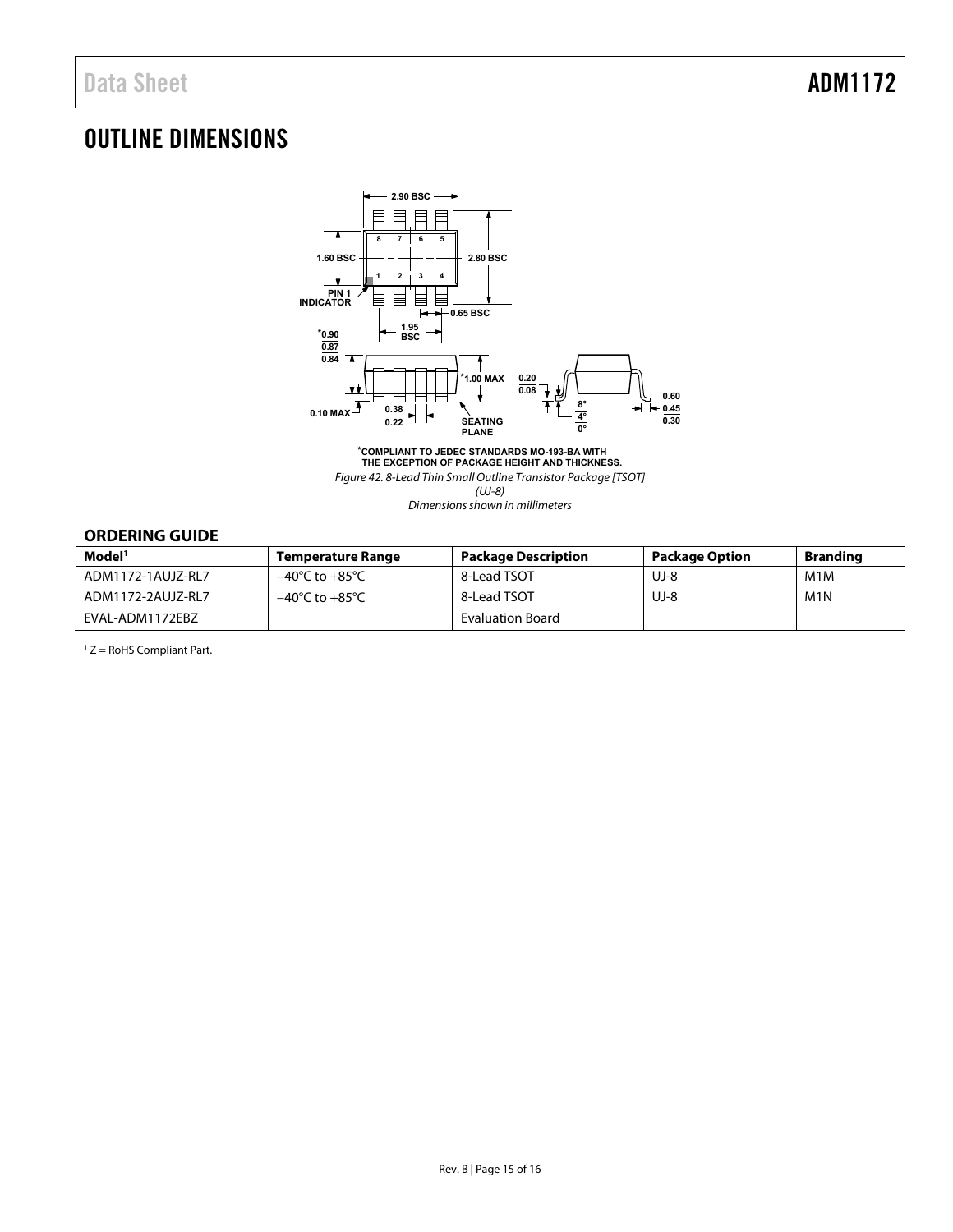# <span id="page-14-0"></span>OUTLINE DIMENSIONS



**\*COMPLIANT TO JEDEC STANDARDS MO-193-BA WITH THE EXCEPTION OF PACKAGE HEIGHT AND THICKNESS.** Figure 42. 8-Lead Thin Small Outline Transistor Package [TSOT] (UJ-8) Dimensions shown in millimeters

### <span id="page-14-1"></span>**ORDERING GUIDE**

| Model <sup>1</sup> | Temperature Range                  | <b>Package Description</b> | Package Option | <b>Branding</b>  |
|--------------------|------------------------------------|----------------------------|----------------|------------------|
| ADM1172-1AUJZ-RL7  | $-40^{\circ}$ C to $+85^{\circ}$ C | 8-Lead TSOT                | UJ-8           | M1M              |
| ADM1172-2AUJZ-RL7  | $-40^{\circ}$ C to $+85^{\circ}$ C | 8-Lead TSOT                | UJ-8           | M <sub>1</sub> N |
| EVAL-ADM1172EBZ    |                                    | Evaluation Board           |                |                  |

1 Z = RoHS Compliant Part.